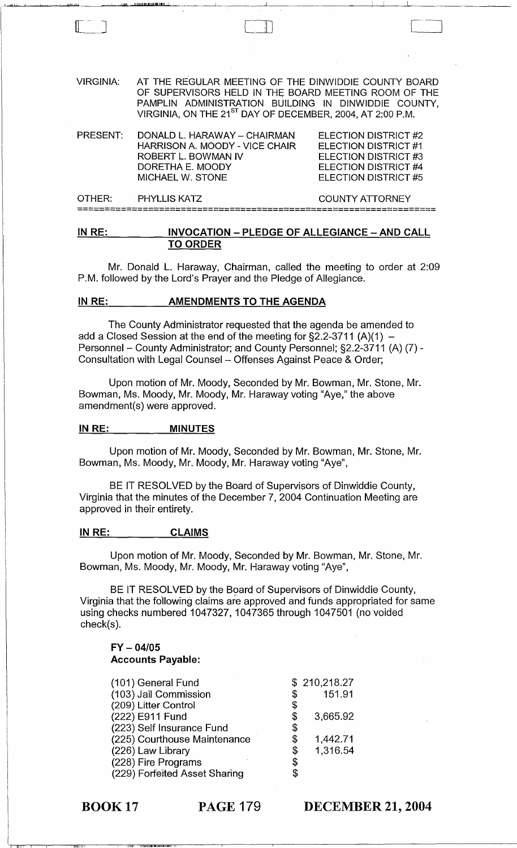| <b>VIRGINIA:</b> | AT THE REGULAR MEETING OF THE DINWIDDIE COUNTY BOARD<br>OF SUPERVISORS HELD IN THE BOARD MEETING ROOM OF THE<br>PAMPLIN ADMINISTRATION BUILDING IN DINWIDDIE COUNTY,<br>VIRGINIA, ON THE 21 <sup>ST</sup> DAY OF DECEMBER, 2004, AT 2:00 P.M. |                                                                                                                      |
|------------------|-----------------------------------------------------------------------------------------------------------------------------------------------------------------------------------------------------------------------------------------------|----------------------------------------------------------------------------------------------------------------------|
| PRESENT:         | DONALD L. HARAWAY - CHAIRMAN<br>HARRISON A. MOODY - VICE CHAIR<br>ROBERT L. BOWMAN IV<br>DORETHA E. MOODY<br><b>MICHAEL W. STONE</b>                                                                                                          | ELECTION DISTRICT #2<br>ELECTION DISTRICT #1<br>ELECTION DISTRICT #3<br>ELECTION DISTRICT #4<br>ELECTION DISTRICT #5 |
| OTHER:           | <b>PHYLLIS KATZ</b>                                                                                                                                                                                                                           | <b>COUNTY ATTORNEY</b>                                                                                               |
|                  |                                                                                                                                                                                                                                               |                                                                                                                      |

1-".u ....... L.. -'---'-~ ...... ' ....,.411,~.~.....J..........lbJl&l,I411....IJ1IJ.llllbL!lUUIJII!lIJIWI!!IUWlII'.Il1..J! ",-' ~~~--L-\_\_\_ ..J \_\_\_\_ ~\_~~\_i--.....L-\_~ \_\_\_\_\_\_ <sup>~</sup>

 $\Box$ 

#### **IN RE: INVOCATION - PLEDGE OF ALLEGIANCE - AND CALL TO ORDER**

Mr. Donald L. Haraway, Chairman, called the meeting to order at 2:09 P.M. followed by the Lord's Prayer and the Pledge of Allegiance.

#### **IN RE: AMENDMENTS TO THE AGENDA**

The County Administrator requested that the agenda be amended to add a Closed Session at the end of the meeting for  $\S$ 2.2-3711 (A)(1) -Personnel - County Administrator; and County Personnel; §2.2-3711 (A) (7) -Consultation with Legal Counsel - Offenses Against Peace & Order;

Upon motion of Mr. Moody, Seconded by Mr. Bowman, Mr. Stone, Mr. Bowman, Ms. Moody, Mr. Moody, Mr. Haraway voting "Aye," the above amendment(s) were approved.

#### **IN RE:** MINUTES

Upon motion of Mr. Moody, Seconded by Mr. Bowman, Mr. Stone, Mr. Bowman, Ms. Moody, Mr. Moody, Mr. Haraway voting "Aye",

BE IT RESOLVED by the Board of Supervisors of Dinwiddie County, Virginia that the minutes of the December 7, 2004 Continuation Meeting are approved in their entirety.

#### **IN RE: CLAIMS**

Upon motion of Mr. Moody, Seconded by Mr. Bowman, Mr. Stone, Mr. Bowman, Ms. Moody, Mr. Moody, Mr. Haraway voting "Aye",

BE IT RESOLVED by the Board of Supervisors of Dinwiddie County, Virginia that the following claims are approved and funds appropriated for same using checks numbered 1047327, 1047365 through 1047501 (no voided check(s).

## **FY - 04/05 Accounts Payable:**

| (101) General Fund            | \$210,218.27   |
|-------------------------------|----------------|
| (103) Jail Commission         | \$<br>151.91   |
| (209) Litter Control          | \$             |
| (222) E911 Fund               | \$<br>3,665.92 |
| (223) Self Insurance Fund     | \$             |
| (225) Courthouse Maintenance  | \$<br>1,442.71 |
| (226) Law Library             | \$<br>1,316.54 |
| (228) Fire Programs           | \$             |
| (229) Forfeited Asset Sharing |                |

BOOK 17 **PAGE 179** 

IHlIi,!! T ,I1BI iiihll,lil.,I,llii.,hlili"

I III! i

**DECEMBER 21, 2004**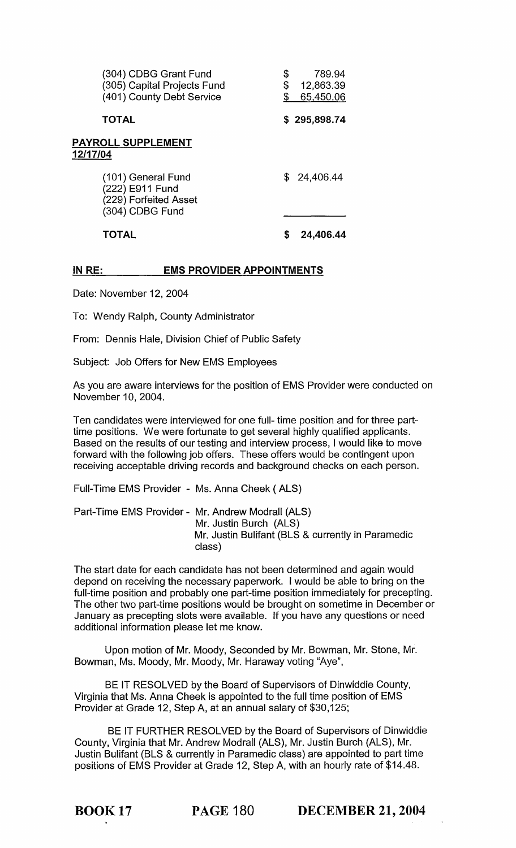| (304) CDBG Grant Fund<br>(305) Capital Projects Fund<br>(401) County Debt Service | \$<br>\$ | 789.94<br>12,863.39<br>65,450.06 |
|-----------------------------------------------------------------------------------|----------|----------------------------------|
| <b>TOTAL</b>                                                                      |          | \$295,898.74                     |
| <b>PAYROLL SUPPLEMENT</b><br>12/17/04                                             |          |                                  |
| (101) General Fund<br>(222) E911 Fund<br>(229) Forfeited Asset<br>(304) CDBG Fund |          | \$24,406.44                      |
| TOTAL                                                                             |          | 24,406.44                        |

# IN RE: EMS PROVIDER APPOINTMENTS

Date: November 12, 2004

To: Wendy Ralph, County Administrator

From: Dennis Hale, Division Chief of Public Safety

Subject: Job Offers for New EMS Employees

As you are aware interviews for the position of EMS Provider were conducted on November 10, 2004.

Ten candidates were interviewed for one full- time position and for three parttime positions. We were fortunate to get several highly qualified applicants. Based on the results of our testing and interview process, I would like to move forward with the following job offers. These offers would be contingent upon receiving acceptable driving records and background checks on each person.

Full-Time EMS Provider - Ms. Anna Cheek ( ALS)

Part-Time EMS Provider - Mr. Andrew Modrall (ALS) Mr. Justin Burch (ALS) Mr. Justin Bulifant (BLS & currently in Paramedic class)

The start date for each candidate has not been determined and again would depend on receiving the necessary paperwork. I would be able to bring on the full-time position and probably one part-time position immediately for precepting. The other two part-time positions would be brought on sometime in December or January as precepting slots were available. If you have any questions or need additional information please let me know.

Upon motion of Mr. Moody, Seconded by Mr. Bowman, Mr. Stone, Mr. Bowman, Ms. Moody, Mr. Moody, Mr. Haraway voting "Aye",

BE IT RESOLVED by the Board of Supervisors of Dinwiddie County, Virginia that Ms. Anna Cheek is appointed to the full time position of EMS Provider at Grade 12, Step A, at an annual salary of \$30,125;

BE IT FURTHER RESOLVED by the Board of Supervisors of Dinwiddie County, Virginia that Mr. Andrew Modrall (ALS), Mr. Justin Burch (ALS), Mr. Justin Bulifant (BLS & currently in Paramedic class) are appointed to part time positions of EMS Provider at Grade 12, Step A, with an hourly rate of \$14.48.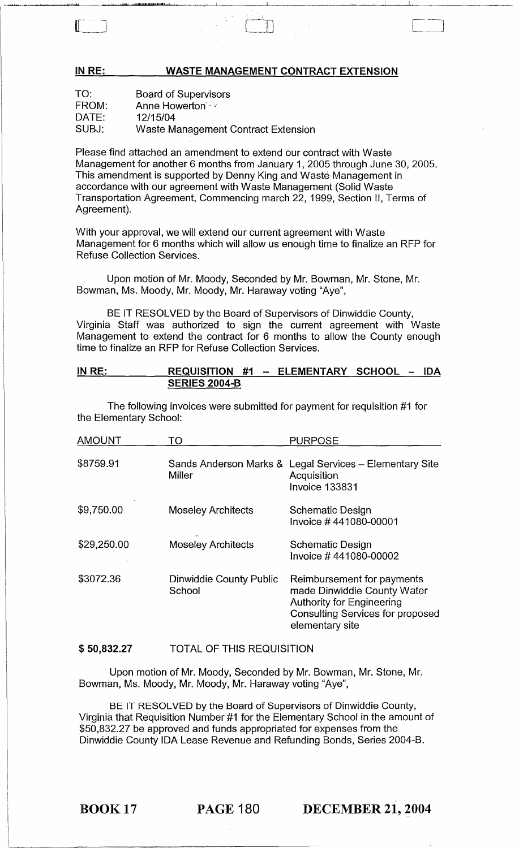#### WASTE MANAGEMENT CONTRACT EXTENSION

| TO:   | <b>Board of Supervisors</b>         |
|-------|-------------------------------------|
| FROM: | <b>Anne Howerton</b>                |
| DATE: | 12/15/04                            |
| SUBJ: | Waste Management Contract Extension |

IN RE:

Please find attached an amendment to extend our contract with Waste Management for another 6 months from January 1, 2005 through June 30, 2005. This amendment is supported by Denny King and Waste Management in accordance with our agreement with Waste Management (Solid Waste Transportation Agreement, Commencing march 22,1999, Section II, Terms of Agreement).

With your approval, we will extend our current agreement with Waste Management for 6 months which will allow us enough time to finalize an RFP for Refuse Collection Services.

Upon motion of Mr. Moody, Seconded by Mr. Bowman, Mr. Stone, Mr. Bowman, Ms. Moody, Mr. Moody, Mr. Haraway voting "Aye",

BE IT RESOLVED by the Board of Supervisors of Dinwiddie County, Virginia Staff was authorized to sign the current agreement with Waste Management to extend the contract for 6 months to allow the County enough time to finalize an RFP for Refuse Collection Services.

#### IN RE: REQUISITION #1 - ELEMENTARY SCHOOL - IDA **SERIES 2004-B**

The following invoices were submitted for payment for requisition #1 for the Elementary School:

| <b>AMOUNT</b> | TO                                       | <b>PURPOSE</b>                                                                                                                                              |
|---------------|------------------------------------------|-------------------------------------------------------------------------------------------------------------------------------------------------------------|
| \$8759.91     | Sands Anderson Marks &<br><b>Miller</b>  | Legal Services - Elementary Site<br>Acquisition<br>Invoice 133831                                                                                           |
| \$9,750.00    | <b>Moseley Architects</b>                | <b>Schematic Design</b><br>Invoice #441080-00001                                                                                                            |
| \$29,250.00   | <b>Moseley Architects</b>                | <b>Schematic Design</b><br>Invoice #441080-00002                                                                                                            |
| \$3072.36     | <b>Dinwiddie County Public</b><br>School | Reimbursement for payments<br>made Dinwiddie County Water<br><b>Authority for Engineering</b><br><b>Consulting Services for proposed</b><br>elementary site |

#### \$ 50,832.27 TOTAL OF THIS REQUISITION

Upon motion of Mr. Moody, Seconded by Mr. Bowman, Mr. Stone, Mr. Bowman, Ms. Moody, Mr. Moody, Mr. Haraway voting "Aye",

BE IT RESOLVED by the Board of Supervisors of Dinwiddie County, Virginia that Requisition Number #1 for the Elementary School in the amount of \$50,832.27 be approved and funds appropriated for expenses from the Dinwiddie County IDA Lease Revenue and Refunding Bonds, Series 2004-B.

BOOK 17 PAGE 180 DECEMBER 21, 2004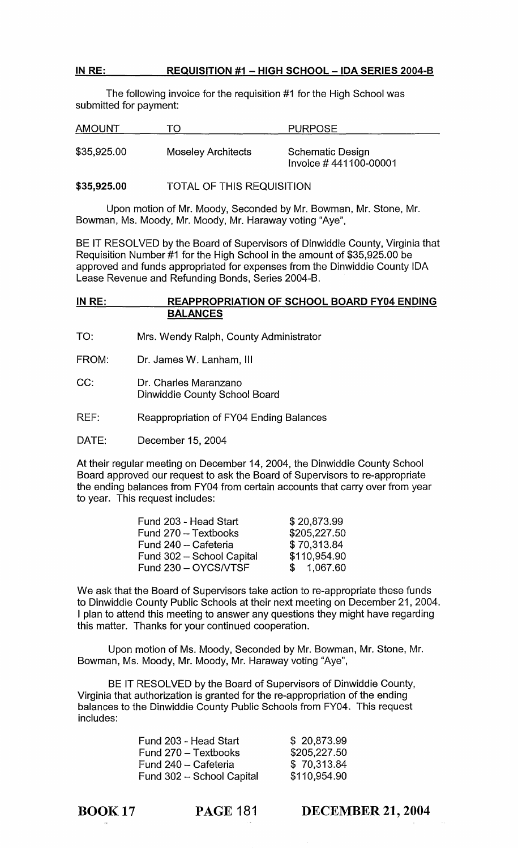# IN RE: REQUISITION #1 - HIGH SCHOOL - IDA SERIES 2004-B

The following invoice for the requisition #1 for the High School was submitted for payment:

| <b>AMOUNT</b> | TO                        | <b>PURPOSE</b>                                   |
|---------------|---------------------------|--------------------------------------------------|
| \$35,925.00   | <b>Moseley Architects</b> | <b>Schematic Design</b><br>Invoice #441100-00001 |

#### \$35,925.00 TOTAL OF THIS REQUISITION

Upon motion of Mr. Moody, Seconded by Mr. Bowman, Mr. Stone, Mr. Bowman, Ms. Moody, Mr. Moody, Mr. Haraway voting "Aye",

BE IT RESOLVED by the Board of Supervisors of Dinwiddie County, Virginia that Requisition Number #1 for the High School in the amount of \$35,925.00 be approved and funds appropriated for expenses from the Dinwiddie County IDA Lease Revenue and Refunding Bonds, Series 2004-B.

#### IN RE: REAPPROPRIATION OF SCHOOL BOARD FY04 ENDING BALANCES

- TO: Mrs. Wendy Ralph, County Administrator
- FROM: Dr. James W. Lanham, III
- CC: Dr. Charles Maranzano Dinwiddie County School Board
- REF: Reappropriation of FY04 Ending Balances
- DATE: December 15, 2004

At their regular meeting on December 14, 2004, the Dinwiddie County School Board approved our request to ask the Board of Supervisors to re-appropriate the ending balances from FY04 from certain accounts that carry over from year to year. This request includes:

| Fund 203 - Head Start     | \$20,873.99  |
|---------------------------|--------------|
| Fund 270 - Textbooks      | \$205,227.50 |
| Fund 240 - Cafeteria      | \$70,313.84  |
| Fund 302 - School Capital | \$110,954.90 |
| Fund 230 - OYCS/VTSF      | \$1,067.60   |

We ask that the Board of Supervisors take action to re-appropriate these funds to Dinwiddie County Public Schools at their next meeting on December 21,2004. I plan to attend this meeting to answer any questions they might have regarding this matter. Thanks for your continued cooperation.

Upon motion of Ms. Moody, Seconded by Mr. Bowman, Mr. Stone, Mr. Bowman, Ms. Moody, Mr. Moody, Mr. Haraway voting "Aye",

BE IT RESOLVED by the Board of Supervisors of Dinwiddie County, Virginia that authorization is granted for the re-appropriation of the ending balances to the Dinwiddie County Public Schools from FY04. This request includes:

| Fund 203 - Head Start     |
|---------------------------|
| Fund 270 – Textbooks      |
| Fund 240 – Cafeteria      |
| Fund 302 – School Capital |

\$ 20,873.99 \$205,227.50 \$ 70,313.84 \$110,954.90

BOOK 17

DECEMBER 21,2004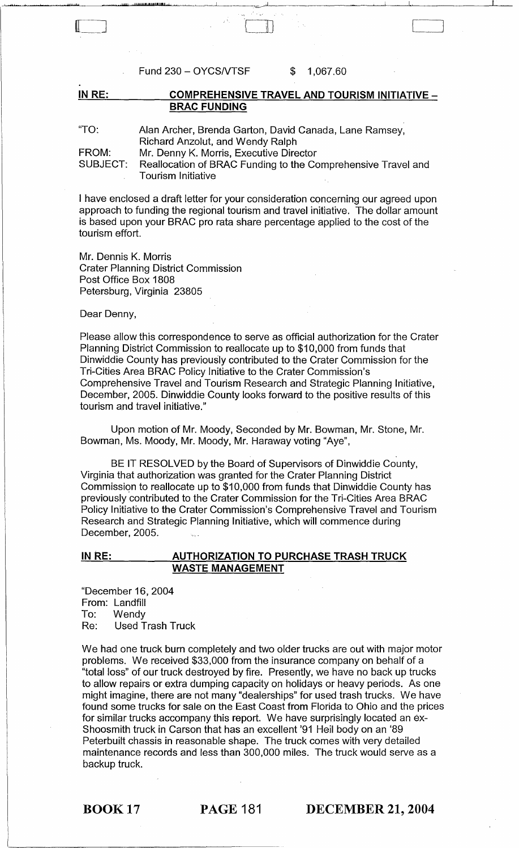Fund 230 - OYCS/VTSF \$ 1,067.60

IN RE: COMPREHENSIVE TRAVEL AND TOURISM INITIATIVE -BRAC FUNDING

 $\llbracket$ 

 $\big]$ 

"TO: FROM: SUBJECT: Alan Archer, Brenda Garton, David Canada, Lane Ramsey, Richard Anzolut, and Wendy Ralph Mr. Denny K. Morris, Executive Director Reallocation of BRAC Funding to the Comprehensive Travel and Tourism Initiative

I have enclosed a draft letter for your consideration concerning our agreed upon approach to funding the regional tourism and travel initiative. The dollar amount is based upon your BRAC pro rata share percentage applied to the cost of the tourism effort.

Mr. Dennis K. Morris Crater Planning District Commission Post Office Box 1808 Petersburg, Virginia 23805

Dear Denny,

Please allow this correspondence to serve as official authorization for the Crater Planning District Commission to reallocate up to \$10,000 from funds that Dinwiddie County has previously contributed to the Crater Commission for the Tri-Cities Area BRAC Policy Initiative to the Crater Commission's Comprehensive Travel and Tourism Research and Strategic Planning Initiative, December, 2005. Dinwiddie County looks forward to the positive results of this tourism and travel initiative."

Upon motion of Mr. Moody, Seconded by Mr. Bowman, Mr. Stone, Mr. Bowman, Ms. Moody, Mr. Moody, Mr. Haraway voting "Aye",

BE IT RESOLVED by the Board of Supervisors of Dinwiddie County, Virginia that authorization was granted for the Crater Planning District Commission to reallocate up to \$10,000 from funds that Dinwiddie County has previously contributed to the Crater Commission for the Tri-Cities Area BRAC Policy Initiative to the Crater Commission's Comprehensive Travel and Tourism Research and Strategic Planning Initiative, which will commence during December, 2005.

#### IN RE: AUTHORIZATION TO PURCHASE TRASH TRUCK WASTE MANAGEMENT

"December 16, 2004 From: Landfill To: Wendy Re: Used Trash Truck

We had one truck burn completely and two older trucks are out with major motor problems. We received \$33,000 from the insurance company on behalf of a "total loss" of our truck destroyed by fire. Presently, we have no back up trucks to allow repairs or extra dumping capacity on holidays or heavy periods. As one might imagine, there are not many "dealerships" for used trash trucks. We have found some trucks for sale on the East Coast from Florida to Ohio and the prices for similar trucks accompany this report. We have surprisingly located an ex-Shoosmith truck in Carson that has an excellent '91 Heil body on an '89 Peterbuilt chassis in reasonable shape. The truck comes with very detailed maintenance records and less than 300,000 miles. The truck would serve as a backup truck.

BOOK 17 PAGE 181 DECEMBER 21, 2004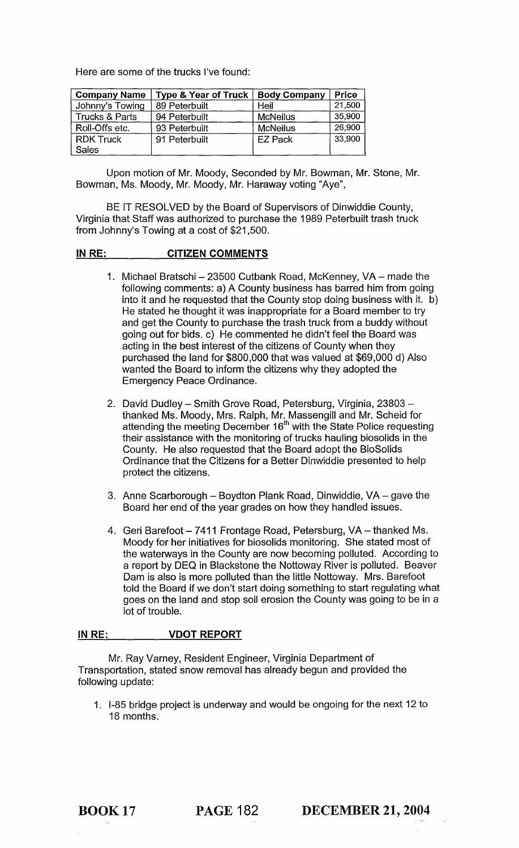Here are some of the trucks I've found:

| <b>Company Name</b> | <b>Type &amp; Year of Truck</b> | <b>Body Company</b> | <b>Price</b> |
|---------------------|---------------------------------|---------------------|--------------|
| Johnny's Towing     | 89 Peterbuilt                   | Heil                | 21,500       |
| Trucks & Parts      | 94 Peterbuilt                   | <b>McNeilus</b>     | 35,900       |
| Roll-Offs etc.      | 93 Peterbuilt                   | <b>McNeilus</b>     | 26,900       |
| <b>RDK Truck</b>    | 91 Peterbuilt                   | <b>EZ Pack</b>      | 33,900       |
| <b>Sales</b>        |                                 |                     |              |

Upon motion of Mr. Moody, Seconded by Mr. Bowman, Mr. Stone, Mr. Bowman, Ms. Moody, Mr. Moody, Mr. Haraway voting "Aye",

BE IT RESOLVED by the Board of Supervisors of Dinwiddie County, Virginia that Staff was authorized to purchase the 1989 Peterbuilt trash truck from Johnny's Towing at a cost of \$21 ,500.

#### IN RE: CITIZEN COMMENTS

- 1. Michael Bratschi 23500 Cutbank Road, McKenney, VA made the following comments: a) A County business has barred him from going into it and he requested that the County stop doing business with it. b) He stated he thought it was inappropriate for a Board member to try and get the County to purchase the trash truck from a buddy without going out for bids. c) He commented he didn't feel the Board was acting in the best interest of the citizens of County when they purchased the land for \$800,000 that was valued at \$69,000 d) Also wanted the Board to inform the citizens why they adopted the Emergency Peace Ordinance.
- 2. David Dudley Smith Grove Road, Petersburg, Virginia, 23803 thanked Ms. Moody, Mrs. Ralph, Mr. Massengill and Mr. Scheid for attending the meeting December 16<sup>th</sup> with the State Police requesting their assistance with the monitoring of trucks hauling biosolids in the County. He also requested that the Board adopt the BioSolids Ordinance that the Citizens for a Better Dinwiddie presented to help protect the citizens.
- 3. Anne Scarborough Boydton Plank Road, Dinwiddie, VA gave the Board her end of the year grades on how they handled issues.
- 4. Geri Barefoot 7411 Frontage Road, Petersburg, VA thanked Ms. Moody for her initiatives for biosolids monitoring. She stated most of the waterways in the County are now becoming polluted. According to a report by DEQ in Blackstone the Nottoway River is polluted. Beaver Dam is also is more polluted than the little Nottoway. Mrs. Barefoot told the Board if we don't start doing something to start regulating what goes on the land and stop soil erosion the County was going to be in a lot of trouble.

#### IN RE: VDOT REPORT

Mr. Ray Varney, Resident Engineer, Virginia Department of Transportation, stated snow removal has already begun and provided the following update:

1. 1-85 bridge project is underway and would be ongoing for the next 12 to 18 months.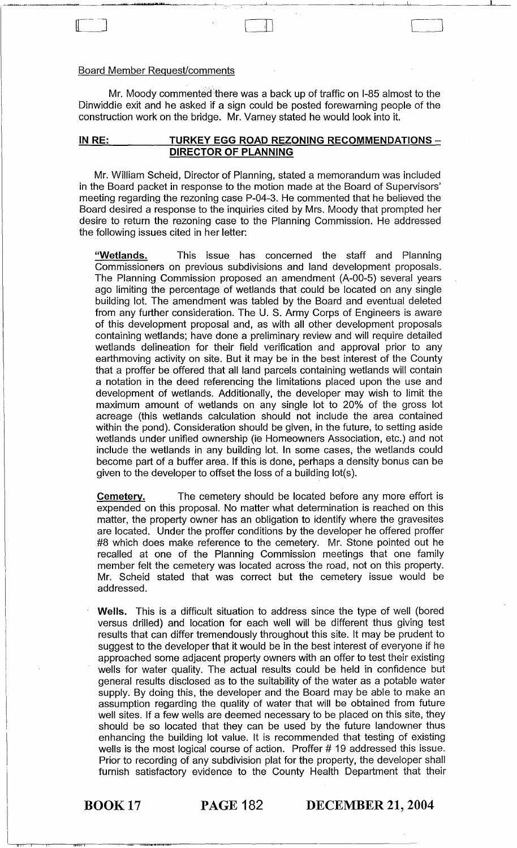### Board Member Request/comments

<u>المالية المستقلة المستقلة المعين التكا</u>ية

Mr. Moody commented there was a back up of traffic on I-85 almost to the Dinwiddie exit and he asked if a sign could be posted forewarning people of the construction work on the bridge. Mr. Varney stated he would look into it.

 $\overline{a}$  and  $\overline{a}$   $\overline{b}$  and  $\overline{c}$  and  $\overline{c}$  and  $\overline{c}$  and  $\overline{c}$  and  $\overline{c}$  and  $\overline{c}$  and  $\overline{c}$  and  $\overline{c}$  and  $\overline{c}$  and  $\overline{c}$  and  $\overline{c}$  and  $\overline{c}$  and  $\overline{c}$  and  $\overline{c}$  and  $\overline$ 

#### IN RE: TURKEY EGG ROAD REZONING RECOMMENDATIONS -DIRECTOR OF PLANNING

Mr. William Scheid, Director of Planning, stated a memorandum was included in the Board packet in response to the motion made at the Board of Supervisors' meeting regarding the rezoning case P-04-3. He commented that he believed the Board desired a response to the inquiries cited by Mrs. Moody that prompted her desire to return the rezoning case to the Planning Commission. He addressed the following issues cited in her letter:

"Wetlands. This issue has concerned the staff and Planning Commissioners on previous subdivisions and land development proposals. The Planning Commission proposed an amendment (A-00-5) several years ago limiting the percentage of wetlands that could be located on any single building lot. The amendment was tabled by the Board and eventual deleted from any further consideration. The U. S. Army Corps of Engineers is aware of this development proposal and, as with all other development proposals containing wetlands; have done a preliminary review and will require detailed wetlands delineation for their field verification and approval prior to any earthmoving activity on site. But it may be in the best interest of the County that a proffer be offered that all land parcels containing wetlands will contain a notation in the deed referencing the limitations placed upon the use and development of wetlands. Additionally, the developer may wish to limit the maximum amount of wetlands on any single lot to 20% of the gross lot acreage (this wetlands calculation should not include the area contained within the pond). Consideration should be given, in the future, to setting aside wetlands under unified ownership (ie Homeowners Association, etc.) and not include the wetlands in any building lot. In some cases, the wetlands could become part of a buffer area. If this is done, perhaps a density bonus can be given to the developer to offset the loss of a building lot(s}.

**Cemetery.** The cemetery should be located before any more effort is expended on this proposal. No matter what determination is reached on this matter, the property owner has an obligation to identify where the gravesites are located. Under the proffer conditions by the developer he offered proffer #8 which does make reference to the cemetery. Mr. Stone pointed out he recalled at one of the Planning Commission meetings that one family member felt the cemetery was located across the road, not on this property. Mr. Scheid stated that was correct but the cemetery issue would be addressed.

Wells. This is a difficult situation to address since the type of well (bored versus drilled) and location for each well will be different thus giving test results that can differ tremendously throughout this site. It may be prudent to suggest to the developer that it would be in the best interest of everyone if he approached some adjacent property owners with an offer to test their existing wells for water quality. The actual results could be held in confidence but general results disclosed as to the suitability of the water as a potable water supply. By doing this, the developer and the Board may be able to make an assumption regarding the quality of water that will be obtained from future well sites. If a few wells are deemed necessary to be placed on this site, they should be so located that they can be used by the future landowner thus enhancing the building lot value. It is recommended that testing of existing wells is the most logical course of action. Proffer # 19 addressed this issue. Prior to recording of any subdivision plat for the property, the developer shall furnish satisfactory evidence to the County Health Department that their

i<br>inter

BOOK 17 PAGE 182 DECEMBER 21, 2004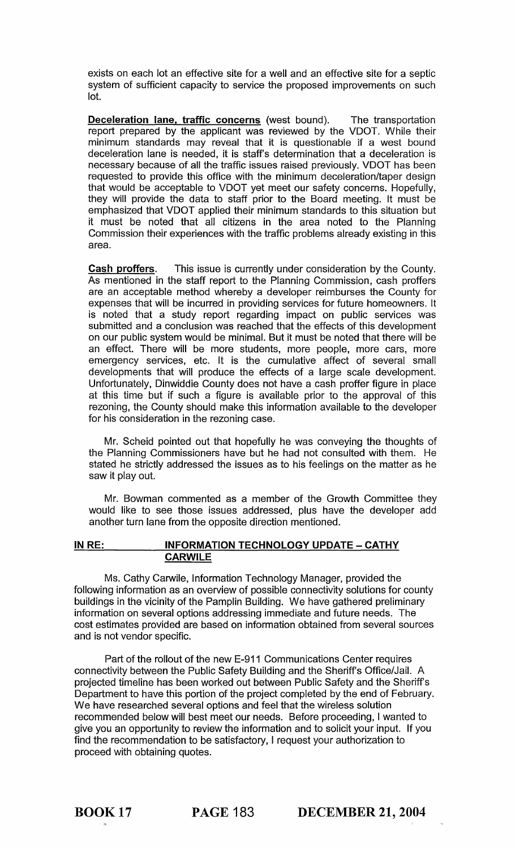exists on each lot an effective site for a well and an effective site for a septic system of sufficient capacity to service the proposed improvements on such lot.

Deceleration lane, traffic concerns (west bound). The transportation report prepared by the applicant was reviewed by the VDOT. While their minimum standards may reveal that it is questionable if a west bound deceleration lane is needed, it is staff's determination that a deceleration is necessary because of all the traffic issues raised previously. VDOT has been requested to provide this office with the minimum deceleration/taper design that would be acceptable to VDOT yet meet our safety concerns. Hopefully, they will provide the data to staff prior to the Board meeting. It must be emphasized that VDOT applied their minimum standards to this situation but it must be noted that all citizens in the area noted to the Planning Commission their experiences with the traffic problems already existing in this area.

Cash proffers. This issue is currently under consideration by the County. As mentioned in the staff report to the Planning Commission, cash proffers are an acceptable method whereby a developer reimburses the County for expenses that will be incurred in providing services for future homeowners. It is noted that a study report regarding impact on public services was submitted and a conclusion was reached that the effects of this development on our public system would be minimal. But it must be noted that there will be an effect. There will be more students, more people, more cars, more emergency services, etc. It is the cumulative affect of several small developments that will produce the effects of a large scale development. Unfortunately, Dinwiddie County does not have a cash proffer figure in place at this time but if such a figure is available prior to the approval of this rezoning, the County should make this information available to the developer for his consideration in the rezoning case.

Mr. Scheid pointed out that hopefully he was conveying the thoughts of the Planning Commissioners have but he had not consulted with them. He stated he strictly addressed the issues as to his feelings on the matter as he saw it play out.

Mr. Bowman commented as a member of the Growth Committee they would like to see those issues addressed, plus have the developer add another turn lane from the opposite direction mentioned.

## IN RE: INFORMATION TECHNOLOGY UPDATE - CATHY **CARWILE**

Ms. Cathy Carwile, Information Technology Manager, provided the following information as an overview of possible connectivity solutions for county buildings in the vicinity of the Pamplin Building. We have gathered preliminary information on several options addressing immediate and future needs. The cost estimates provided are based on information obtained from several sources and is not vendor specific.

Part of the rollout of the new E-911 Communications Center requires connectivity between the Public Safety Building and the Sheriff's Office/Jail. A projected timeline has been worked out between Public Safety and the Sheriff's Department to have this portion of the project completed by the end of February. We have researched several options and feel that the wireless solution recommended below will best meet our needs. Before proceeding, I wanted to give you an opportunity to review the information and to solicit your input. If you find the recommendation to be satisfactory, I request your authorization to proceed with obtaining quotes.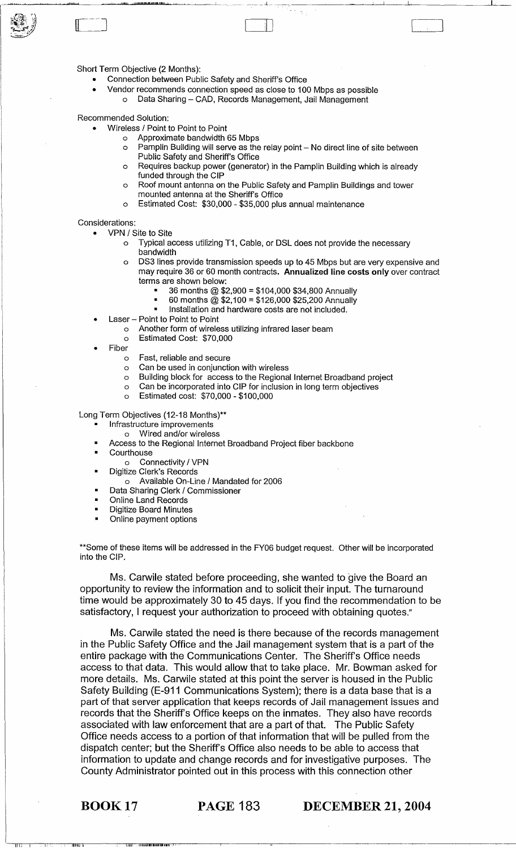Short Term Objective (2 Months):

- Connection between Public Safety and Sheriff's Office
- Vendor recommends connection speed as close to 100 Mbps as possible o Data Sharing - CAD, Records Management, Jail Management

~~\_~\_"""""""""", \_\_ ----,,,,,,,,,,,,·\_·"\_'''''!h.IIII.I'''''''''\_'''',"ILIlI!·IU1.'' ..... ' ~~~~~ " .. \_\_\_\_ .. \_\_ ". \_ , ..... \_\_ . \_. \_\_\_\_ ~\_~\_\_\_L\_L~\_\_1~ \_\_\_\_\_\_ \_1I \_\_

 $\Box$ 

Recommended Solution:

- Wireless / Point to Point to Point
	- o Approximate bandwidth 65 Mbps
	- $\circ$  Pamplin Building will serve as the relay point  $-$  No direct line of site between Public Safety and Sheriff's Office
	- o Requires backup power (generator) in the Pamplin Building which is already funded through the CIP
	- o Roof mount antenna on the Public Safety and Pamplin Buildings and tower mounted antenna at the Sheriff's Office
	- o Estimated Cost: \$30,000 \$35,000 plus annual maintenance

#### Considerations:

- VPN / Site to Site
	- o Typical access utilizing T1, Cable, or DSL does not provide the necessary bandwidth
	- o DS3 lines provide transmission speeds up to 45 Mbps but are very expensive and may require 36 or 60 month contracts. Annualized line costs only over contract terms are shown below:
		- 36 months @ \$2,900 = \$104,000 \$34,800 Annually<br>• 60 months @ \$2,100 = \$126,000 \$25,200 Annually
		- 60 months @ \$2,100 = \$126,000 \$25,200 Annually
		- Installation and hardware costs are not included.
- Laser Point to Point to Point

o Another form of wireless utilizing infrared laser beam

- o Estimated Cost: \$70,000
- Fiber
	- o Fast, reliable and secure
	- o Can be used in conjunction with wireless
	- o Building block for access to the Regional Internet Broadband project
	- o Can be incorporated into CIP for inclusion in long term objectives
	- o Estimated cost: \$70,000 \$100,000

Long Term Objectives (12-18 Months)\*\*

- Infrastructure improvements
	- o Wired and/or wireless
- Access to the Regional Internet Broadband Project fiber backbone
- **Courthouse** 
	- o Connectivity / VPN
- Digitize Clerk's Records
	- o Available On-Line / Mandated for 2006
- Data Sharing Clerk / Commissioner
- Online Land Records
- Digitize Board Minutes
- Online payment options

\*\*Some of these items will be addressed in the FY06 budget request. Other will be incorporated into the CIP.

Ms. Carwile stated before proceeding, she wanted to give the Board an opportunity to review the information and to solicit their input. The turnaround time would be approximately 30 to 45 days. If you find the recommendation to be satisfactory, I request your authorization to proceed with obtaining quotes."

Ms. Carwile stated the need is there because of the records management in the Public Safety Office and the Jail management system that is a part of the entire package with the Communications Center. The Sheriff's Office needs access to that data. This would allow that to take place. Mr. Bowman asked for more details. Ms. Carwile stated at this point the server is housed in the Public Safety Building (E-911 Communications System); there is a data base that is a part of that server application that keeps records of Jail management issues and records that the Sheriff's Office keeps on the inmates. They also have records associated with law enforcement that are a part of that. The Public Safety Office needs access to a portion of that information that will be pulled from the dispatch center; but the Sheriff's Office also needs to be able to access that information to update and change records and for investigative purposes. The County Administrator pointed out in this process with this connection other

11iiili 11ii 11iili 11iili 11iili 11iili 11iili 11iili 11iili 11iili 11iili 11iili 11iili 11iili 11iili 11iili

III,

BOOK 17 PAGE 183 DECEMBER 21, 2004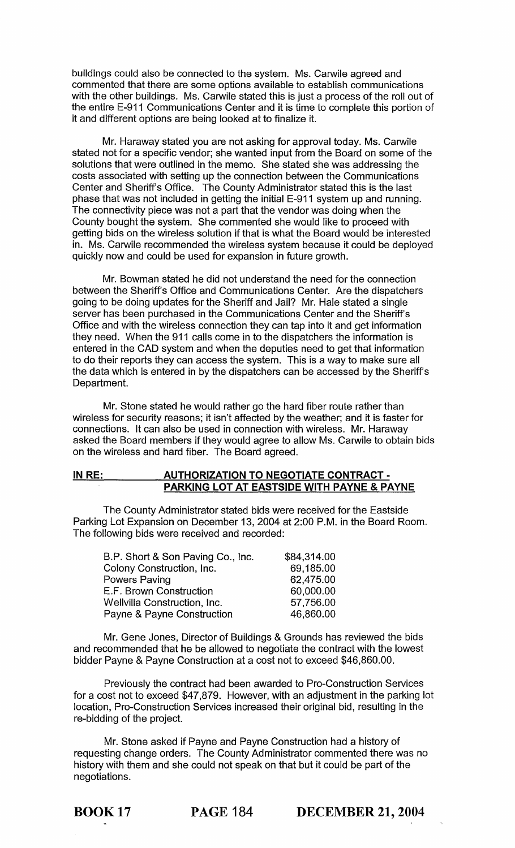buildings could also be connected to the system. Ms. Carwile agreed and commented that there are some options available to establish communications with the other buildings. Ms. Carwile stated this is just a process of the roll out of the entire E-911 Communications Center and it is time to complete this portion of it and different options are being looked at to finalize it.

Mr. Haraway stated you are not asking for approval today. Ms. Carwile stated not for a specific vendor; she wanted input from the Board on some of the solutions that were outlined in the memo. She stated she was addressing the costs associated with setting up the connection between the Communications Center and Sheriff's Office. The County Administrator stated this is the last phase that was not included in getting the initial E-911 system up and running. The connectivity piece was not a part that the vendor was doing when the County bought the system. She commented she would like to proceed with getting bids on the wireless solution if that is what the Board would be interested in. Ms. Carwile recommended the wireless system because it could be deployed quickly now and could be used for expansion in future growth.

Mr. Bowman stated he did not understand the need for the connection between the Sheriff's Office and Communications Center. Are the dispatchers going to be doing updates for the Sheriff and Jail? Mr. Hale stated a single server has been purchased in the Communications Center and the Sheriff's Office and with the wireless connection they can tap into it and get information they need. When the 911 calls come in to the dispatchers the information is entered in the CAD system and when the deputies need to get that information to do their reports they can access the system. This is a way to make sure all the data which is entered in by the dispatchers can be accessed by the Sheriff's Department.

Mr. Stone stated he would rather go the hard fiber route rather than wireless for security reasons; it isn't affected by the weather; and it is faster for connections. It can also be used in connection with wireless. Mr. Haraway asked the Board members if they would agree to allow Ms. Carwile to obtain bids on the wireless and hard fiber. The Board agreed.

#### **IN RE: AUTHORIZATION TO NEGOTIATE CONTRACT -PARKING LOT AT EASTSIDE WITH PAYNE & PAYNE**

The County Administrator stated bids were received for the Eastside Parking Lot Expansion on December 13, 2004 at 2:00 P.M. in the Board Room. The following bids were received and recorded:

| B.P. Short & Son Paving Co., Inc. | \$84,314.00 |
|-----------------------------------|-------------|
| Colony Construction, Inc.         | 69,185.00   |
| Powers Paving                     | 62,475.00   |
| E.F. Brown Construction           | 60,000.00   |
| Wellvilla Construction, Inc.      | 57,756.00   |
| Payne & Payne Construction        | 46,860.00   |

Mr. Gene Jones, Director of Buildings & Grounds has reviewed the bids and recommended that he be allowed to negotiate the contract with the lowest bidder Payne & Payne Construction at a cost not to exceed \$46,860.00.

Previously the contract had been awarded to Pro-Construction Services for a cost not to exceed \$47,879. However, with an adjustment in the parking lot location, Pro-Construction Services increased their original bid, resulting in the re-bidding of the project.

Mr. Stone asked if Payne and Payne Construction had a history of requesting change orders. The County Administrator commented there was no history with them and she could not speak on that but it could be part of the negotiations.

BOOK 17 **PAGE 184 DECEMBER 21, 2004**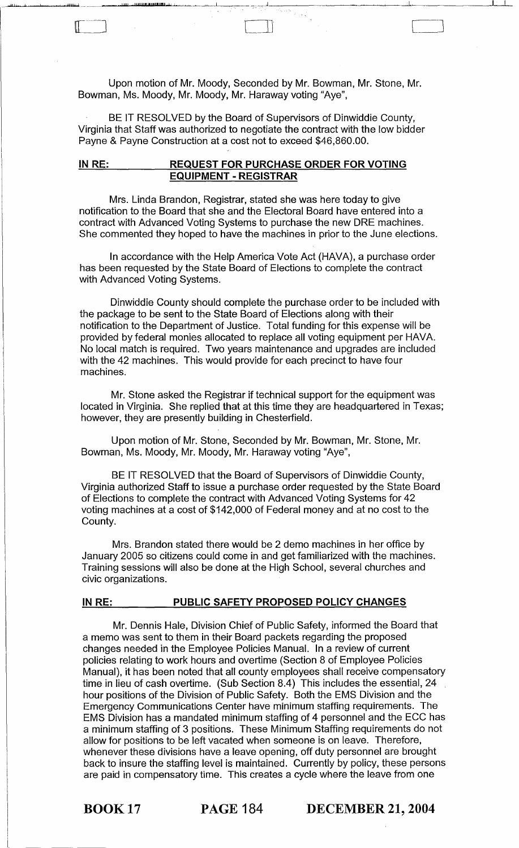Upon motion of Mr. Moody, Seconded by Mr. Bowman, Mr. Stone, Mr. Bowman, Ms. Moody, Mr. Moody, Mr. Haraway voting "Aye",

r Il

]

I<u>JIII! <sub>IJI</sub> adi ili III III III III III III ili adala alan samu massa associative ad alan samu massa associativ</u>

BE IT RESOLVED by the Board of Supervisors of Dinwiddie County, Virginia that Staff was authorized to negotiate the contract with the low bidder Payne & Payne Construction at a cost not to exceed \$46,860.00.

#### **IN RE: REQUEST FOR PURCHASE ORDER FOR VOTING EQUIPMENT - REGISTRAR**

Mrs. Linda Brandon, Registrar, stated she was here today to give notification to the Board that she and the Electoral Board have entered into a contract with Advanced Voting Systems to purchase the new ORE machines. She commented they hoped to have the machines in prior to the June elections.

In accordance with the Help America Vote Act (HAVA), a purchase order has been requested by the State Board of Elections to complete the contract with Advanced Voting Systems.

Dinwiddie County should complete the purchase order to be included with the package to be sent to the State Board of Elections along with their notification to the Department of Justice. Total funding for this expense will be provided by federal monies allocated to replace all voting equipment per HAV A. No local match is required. Two years maintenance and upgrades are included with the 42 machines. This would provide for each precinct to have four machines.

Mr. Stone asked the Registrar if technical support for the equipment was located in Virginia. She replied that at this time they are headquartered in Texas; however, they are presently building in Chesterfield.

Upon motion of Mr. Stone, Seconded by Mr. Bowman, Mr. Stone, Mr. Bowman, Ms. Moody, Mr. Moody, Mr. Haraway voting "Aye",

BE IT RESOLVED that the Board of Supervisors of Dinwiddie County, Virginia authorized Staff to issue a purchase order requested by the State Board of Elections to complete the contract with Advanced Voting Systems for 42 voting machines at a cost of \$142,000 of Federal money and at no cost to the County.

Mrs. Brandon stated there would be 2 demo machines in her office by January 2005 so citizens could come in and get familiarized with the machines. Training sessions will also be done at the High School, several churches and civic organizations.

## **IN RE: PUBLIC SAFETY PROPOSED POLICY CHANGES**

Mr. Dennis Hale, Division Chief of Public Safety, informed the Board that a memo was sent to them in their Board packets regarding the proposed changes needed in the Employee Policies Manual. In a review of current policies relating to work hours and overtime (Section 8 of Employee Policies Manual), it has been noted that all county employees shall receive compensatory time in lieu of cash overtime. (Sub Section 8.4) This includes the essential, 24 hour positions of the Division of Public Safety. Both the EMS Division and the Emergency Communications Center have minimum staffing requirements. The EMS Division has a mandated minimum staffing of 4 personnel and the ECC has a minimum staffing of 3 positions. These Minimum Staffing requirements do not allow for positions to be left vacated when someone is on leave. Therefore, whenever these divisions have a leave opening, off duty personnel are brought back to insure the staffing level is maintained. Currently by policy, these persons are paid in compensatory time. This creates a cycle where the leave from one

BOOK 17 **PAGE 184 DECEMBER 21, 2004**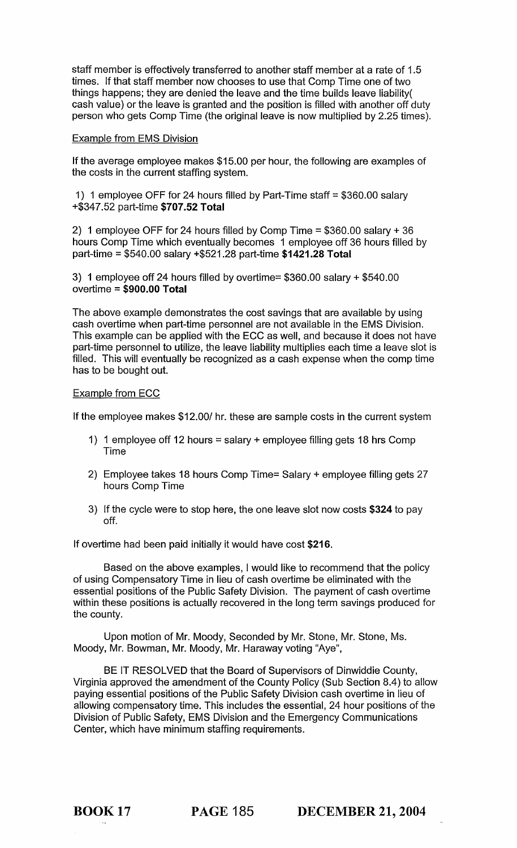staff member is effectively transferred to another staff member at a rate of 1.5 times. If that staff member now chooses to use that Comp Time one of two things happens; they are denied the leave and the time builds leave liability( cash value) or the leave is granted and the position is filled with another off duty person who gets Comp Time (the original leave is now multiplied by 2.25 times).

#### Example from EMS Division

If the average employee makes \$15.00 per hour, the following are examples of the costs in the current staffing system.

1) 1 employee OFF for 24 hours filled by Part-Time staff = \$360.00 salary +\$347.52 part-time \$707.52 Total

2) 1 employee OFF for 24 hours filled by Comp Time = \$360.00 salary + 36 hours Comp Time which eventually becomes 1 employee off 36 hours filled by part-time = \$540.00 salary +\$521.28 part-time \$1421.28 Total

3) 1 employee off 24 hours filled by overtime= \$360.00 salary + \$540.00 overtime = \$900.00 Total

The above example demonstrates the cost savings that are available by using cash overtime when part-time personnel are not available in the EMS Division. This example can be applied with the ECC as well, and because it does not have part-time personnel to utilize, the leave liability multiplies each time a leave slot is filled. This will eventually be recognized as a cash expense when the comp time has to be bought out.

#### Example from ECC

If the employee makes \$12.00/ hr. these are sample costs in the current system

- 1) 1 employee off 12 hours = salary + employee filling gets 18 hrs Comp Time
- 2) Employee takes 18 hours Comp Time= Salary + employee filling gets 27 hours Comp Time
- 3) If the cycle were to stop here, the one leave slot now costs \$324 to pay off.

If overtime had been paid initially it would have cost \$216.

Based on the above examples, I would like to recommend that the policy of using Compensatory Time in lieu of cash overtime be eliminated with the essential positions of the Public Safety Division. The payment of cash overtime within these positions is actually recovered in the long term savings produced for the county.

Upon motion of Mr. Moody, Seconded by Mr. Stone, Mr. Stone, Ms. Moody, Mr. Bowman, Mr. Moody, Mr. Haraway voting "Aye",

BE IT RESOLVED that the Board of Supervisors of Dinwiddie County, Virginia approved the amendment of the County Policy (Sub Section 8.4) to allow paying essential positions of the Public Safety Division cash overtime in lieu of allowing compensatory time. This includes the essential, 24 hour positions of the Division of Public Safety, EMS Division and the Emergency Communications Center, which have minimum staffing requirements.

BOOK 17 PAGE 185 DECEMBER 21, 2004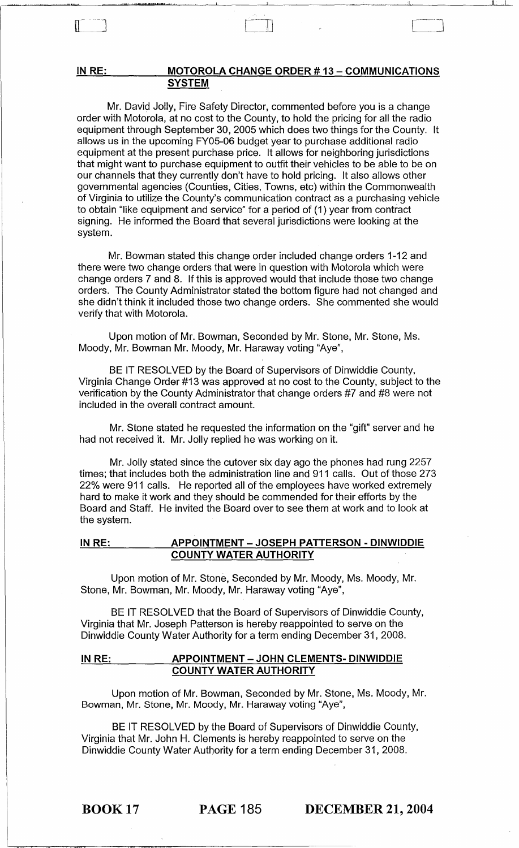### IN RE: MOTOROLA CHANGE ORDER # 13 - COMMUNICATIONS **SYSTEM**

 $\mathbb{R}$ 

"/I"! 'P'p',,"!l&.I!1111d- 1 I I I

Mr. David Jolly, Fire Safety Director, commented before you is a change order with Motorola, at no cost to the County, to hold the pricing for all the radio equipment through September 30, 2005 which does two things for the County. It allows us in the upcoming FY05-06 budget year to purchase additional radio equipment at the present purchase price. It allows for neighboring jurisdictions that might want to purchase equipment to outfit their vehicles to be able to be on our channels that they currently don't have to hold pricing. It also allows other governmental agencies (Counties, Cities, Towns, etc) within the Commonwealth of Virginia to utilize the County's communication contract as a purchasing vehicle to obtain "like equipment and service" for a period of (1) year from contract signing. He informed the Board that several jurisdictions were looking at the system.

Mr. Bowman stated this change order included change orders 1-12 and there were two change orders that were in question with Motorola which were change orders 7 and 8. If this is approved would that include those two change orders. The County Administrator stated the bottom figure had not changed and she didn't think it included those two change orders. She commented she would verify that with Motorola.

Upon motion of Mr. Bowman, Seconded by Mr. Stone, Mr. Stone, Ms. Moody, Mr. Bowman Mr. Moody, Mr. Haraway voting "Aye",

BE IT RESOLVED by the Board of Supervisors of Dinwiddie County, Virginia Change Order #13 was approved at no cost to the County, subject to the verification by the County Administrator that change orders #7 and #8 were not included in the overall contract amount.

Mr. Stone stated he requested the information on the "gift" server and he had not received it. Mr. Jolly replied he was working on it.

Mr. Jolly stated since the cutover six day ago the phones had rung 2257 times; that includes both the administration line and 911 calls. Out of those 273 22% were 911 calls. He reported all of the employees have worked extremely hard to make it work and they should be commended for their efforts by the Board and Staff. He invited the Board over to see them at work and to look at the system.

#### IN RE: APPOINTMENT - JOSEPH PATTERSON - DINWIDDIE COUNTY WATER AUTHORITY

Upon motion of Mr. Stone, Seconded by Mr. Moody, Ms. Moody, Mr. Stone, Mr. Bowman, Mr. Moody, Mr. Haraway voting "Aye",

BE IT RESOLVED that the Board of Supervisors of Dinwiddie County, Virginia that Mr. Joseph Patterson is hereby reappointed to serve on the Dinwiddie County Water Authority for a term ending December 31,2008.

#### IN RE: \_\_\_\_\_\_\_\_ APPOINTMENT - JOHN CLEMENTS- DINWIDDIE COUNTY WATER AUTHORITY

Upon motion of Mr. Bowman, Seconded by Mr. Stone, Ms. Moody, Mr. Bowman, Mr. Stone, Mr. Moody, Mr. Haraway voting "Aye",

BE IT RESOLVED by the Board of Supervisors of Dinwiddie County, Virginia that Mr. John H. Clements is hereby reappointed to serve on the Dinwiddie County Water Authority for a term ending December 31,2008.

BOOK 17 PAGE 185 DECEMBER 21, 2004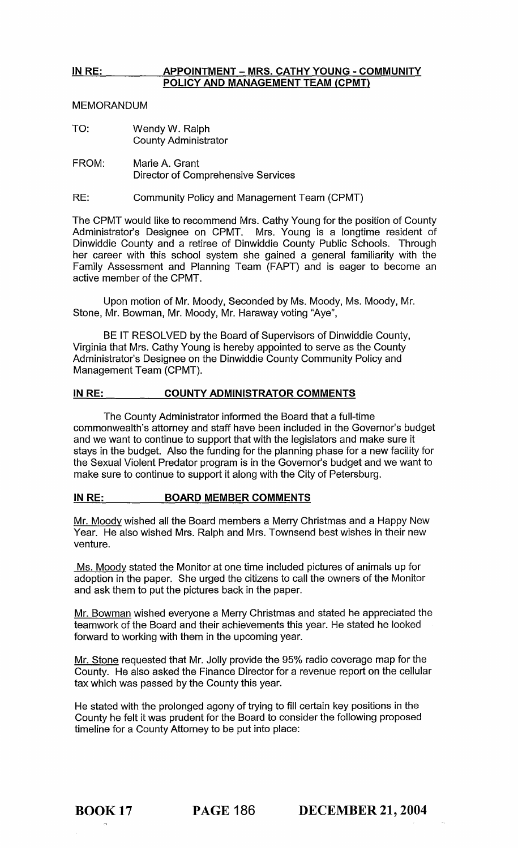# IN RE: APPOINTMENT - MRS. CATHY YOUNG - COMMUNITY POLICY AND MANAGEMENT TEAM (CPMT)

MEMORANDUM

- TO: Wendy W. Ralph County Administrator
- FROM: Marie A. Grant Director of Comprehensive Services
- RE: Community Policy and Management Team (CPMT)

The CPMT would like to recommend Mrs. Cathy Young for the position of County Administrator's Designee on CPMT. Mrs. Young is a longtime resident of Dinwiddie County and a retiree of Dinwiddie County Public Schools. Through her career with this school system she gained a general familiarity with the Family Assessment and Planning Team (FAPT) and is eager to become an active member of the CPMT.

Upon motion of Mr. Moody, Seconded by Ms. Moody, Ms. Moody, Mr. Stone, Mr. Bowman, Mr. Moody, Mr. Haraway voting "Aye",

BE IT RESOLVED by the Board of Supervisors of Dinwiddie County, Virginia that Mrs. Cathy Young is hereby appointed to serve as the County Administrator's Designee on the Dinwiddie County Community Policy and Management Team (CPMT).

## IN RE: COUNTY ADMINISTRATOR COMMENTS

The County Administrator informed the Board that a full-time commonwealth's attorney and staff have been included in the Governor's budget and we want to continue to support that with the legislators and make sure it stays in the budget. Also the funding for the planning phase for a new facility for the Sexual Violent Predator program is in the Governor's budget and we want to make sure to continue to support it along with the City of Petersburg.

## IN RE: BOARD MEMBER COMMENTS

Mr. Moody wished all the Board members a Merry Christmas and a Happy New Year. He also wished Mrs. Ralph and Mrs. Townsend best wishes in their new venture.

Ms. Moody stated the Monitor at one time included pictures of animals up for adoption in the paper. She urged the citizens to call the owners of the Monitor and ask them to put the pictures back in the paper.

Mr. Bowman wished everyone a Merry Christmas and stated he appreciated the teamwork of the Board and their achievements this year. He stated he looked forward to working with them in the upcoming year.

Mr. Stone requested that Mr. Jolly provide the 95% radio coverage map for the County. He also asked the Finance Director for a revenue report on the cellular tax which was passed by the County this year.

He stated with the prolonged agony of trying to fill certain key positions in the County he felt it was prudent for the Board to consider the following proposed timeline for a County Attorney to be put into place:

BOOK 17 PAGE 186 DECEMBER 21,2004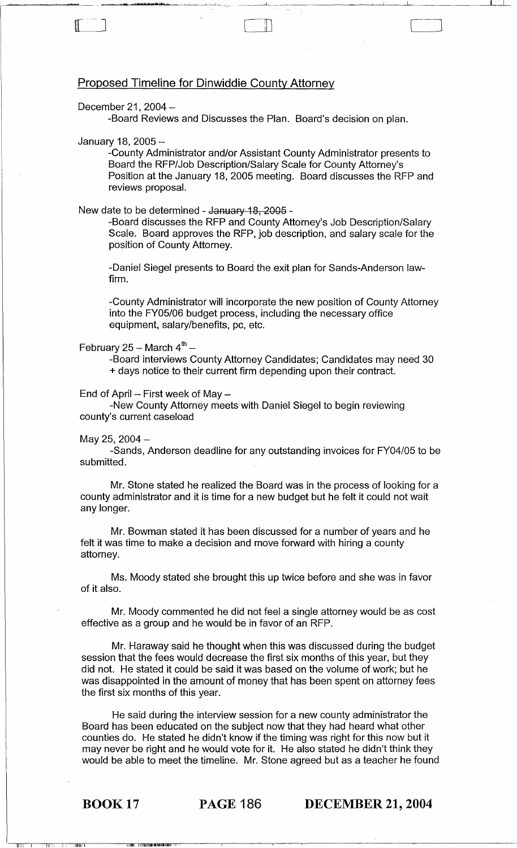# Proposed Timeline for Dinwiddie County Attorney

#### December 21,  $2004-$

..1l1l..I "JIIaw.p'.'"'!l8'I'II..1.

-Board Reviews and Discusses the Plan. Board's decision on plan.

#### January 18, 2005 -

H

-County Administrator and/or Assistant County Administrator presents to Board the RFP/Job Description/Salary Scale for County Attorney's Position at the January 18, 2005 meeting. Board discusses the RFP and reviews proposal. .

c-. ]

ىلسىنى**ل** 

#### New date to be determined - January 18, 2005 -

-Board discusses the RFP and County Attorney's Job Description/Salary Scale. Board approves the RFP, job description, and salary scale for the position of County Attorney.

-Daniel Siegel presents to Board the exit plan for Sands-Anderson lawfirm.

-County Administrator will incorporate the new position of County Attorney into the FY05/06 budget process, including the necessary office equipment, salary/benefits, pc, etc.

#### February 25 - March  $4^{\text{th}}$  -

-Board interviews County Attorney Candidates; Candidates may need 30 + days notice to their current firm depending upon their contract.

End of April  $-$  First week of May  $-$ 

-New County Attorney meets with Daniel Siegel to begin reviewing county's current caseload

#### May 25, 2004 $-$

-Sands, Anderson deadline for any outstanding invoices for FY04/05 to be submitted.

Mr. Stone stated he realized the Board was in the process of looking for a county administrator and it is time for a new budget but he felt it could not wait any longer.

Mr. Bowman stated it has been discussed for a number of years and he felt it was time to make a decision and move forward with hiring a county attorney.

Ms. Moody stated she brought this up twice before and she was in favor of it also.

Mr. Moody commented he did not feel a single attorney would be as cost effective as a group and he would be in favor of an RFP.

Mr. Haraway said he thought when this was discussed during the budget session that the fees would decrease the first six months of this year, but they did not. He stated it could be said it was based on the volume of work; but he was disappointed in the amount of money that has been spent on attorney fees the first six months of this year.

He said during the interview session for a new county administrator the Board has been educated on the subject now that they had heard what other counties do. He stated he didn't know if the timing was right for this now but it may never be right and he would vote for it. He also stated he didn't think they would be able to meet the timeline. Mr. Stone agreed but as a teacher he found

II liitti Liittaan käytä kuningan kaikeen liitti t

1111

BOOK 17 PAGE 186 DECEMBER 21, 2004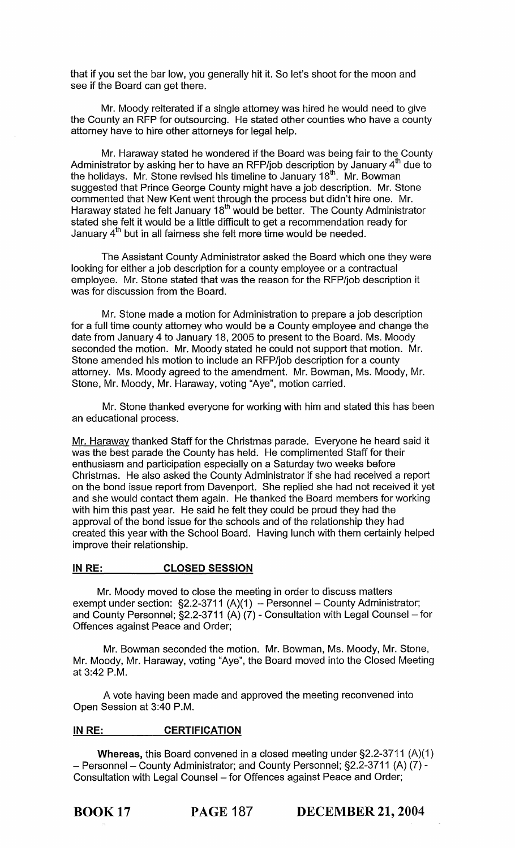that if you set the bar low, you generally hit it. So let's shoot for the moon and see if the Board can get there.

Mr. Moody reiterated if a single attorney was hired he would need to give the County an RFP for outsourcing. He stated other counties who have a county attorney have to hire other attorneys for legal help.

Mr. Haraway stated he wondered if the Board was being fair to the County Administrator by asking her to have an RFP/job description by January  $4<sup>th</sup>$  due to the holidays. Mr. Stone revised his timeline to January 18th . Mr. Bowman suggested that Prince George County might have a job description. Mr. Stone commented that New Kent went through the process but didn't hire one. Mr. Haraway stated he felt January 18<sup>th</sup> would be better. The County Administrator stated she felt it would be a little difficult to get a recommendation ready for January 4"' but in all fairness she felt more time would be needed.

The Assistant County Administrator asked the Board which one they were looking for either a job description for a county employee or a contractual employee. Mr. Stone stated that was the reason for the RFP/job description it was for discussion from the Board.

Mr. Stone made a motion for Administration to prepare a job description for a full time county attorney who would be a County employee and change the date from January 4 to January 18, 2005 to present to the Board. Ms. Moody seconded the motion. Mr. Moody stated he could not support that motion. Mr. Stone amended his motion to include an RFP/job description for a county attorney. Ms. Moody agreed to the amendment. Mr. Bowman, Ms. Moody, Mr. Stone, Mr. Moody, Mr. Haraway, voting "Aye", motion carried.

Mr. Stone thanked everyone for working with him and stated this has been an educational process.

Mr. Haraway thanked Staff for the Christmas parade. Everyone he heard said it was the best parade the County has held. He complimented Staff for their enthusiasm and participation especially on a Saturday two weeks before Christmas. He also asked the County Administrator if she had received a report on the bond issue report from Davenport. She replied she had not received it yet and she would contact them again. He thanked the Board members for working with him this past year. He said he felt they could be proud they had the approval of the bond issue for the schools and of the relationship they had created this year with the School Board. Having lunch with them certainly helped improve their relationship.

#### IN RE: CLOSED SESSION

Mr. Moody moved to close the meeting in order to discuss matters exempt under section:  $\S2.2$ -3711 (A)(1) - Personnel - County Administrator; and County Personnel;  $\S$ 2.2-3711 (A) (7) - Consultation with Legal Counsel – for Offences against Peace and Order;

Mr. Bowman seconded the motion. Mr. Bowman, Ms. Moody, Mr. Stone, Mr. Moody, Mr. Haraway, voting "Aye", the Board moved into the Closed Meeting at 3:42 P.M.

A vote having been made and approved the meeting reconvened into Open Session at 3:40 P.M.

#### IN RE: **CERTIFICATION**

Whereas, this Board convened in a closed meeting under §2.2-3711 (A)(1) - Personnel - County Administrator; and County Personnel; §2.2-3711 (A) (7) -Consultation with Legal Counsel - for Offences against Peace and Order;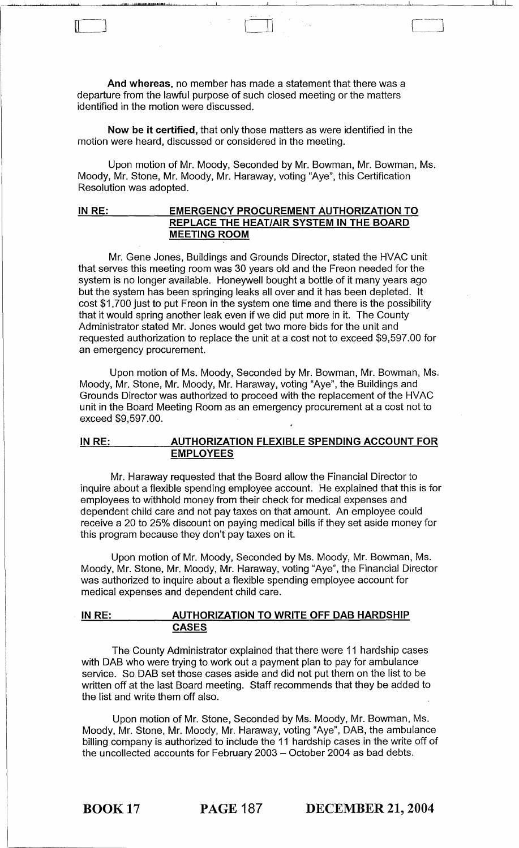And whereas, no member has made a statement that there was a departure from the lawful purpose of such closed meeting or the matters identified in the motion were discussed.

عاجيتها

1111"...1. !W! ·J",I,lltlg!a!!!II!.I·I~11 LI

 $\Box$ 

Now be it certified, that only those matters as were identified in the motion were heard, discussed or considered in the meeting.

Upon motion of Mr. Moody, Seconded by Mr. Bowman, Mr. Bowman, Ms. Moody, Mr. Stone, Mr. Moody, Mr. Haraway, voting "Aye", this Certification Resolution was adopted.

## IN RE: EMERGENCY PROCUREMENT AUTHORIZATION TO REPLACE THE HEAT/AIR SYSTEM IN THE BOARD MEETING ROOM

Mr. Gene Jones, Buildings and Grounds Director, stated the HVAC unit that serves this meeting room was 30 years old and the Freon needed for the system is no longer available. Honeywell bought a bottle of it many years ago but the system has been springing leaks all over and it has been depleted. It cost \$1,700 just to put Freon in the system one time and there is the possibility that it would spring another leak even if we did put more in it. The County Administrator stated Mr. Jones would get two more bids for the unit and requested authorization to replace the unit at a cost not to exceed \$9,597.00 for an emergency procurement.

Upon motion of Ms. Moody, Seconded by Mr. Bowman, Mr. Bowman, Ms. Moody, Mr. Stone, Mr. Moody, Mr. Haraway, voting "Aye", the Buildings and Grounds Director was authorized to proceed with the replacement of the HVAC unit in the Board Meeting Room as an emergency procurement at a cost not to exceed \$9,597.00.

#### IN RE: AUTHORIZATION FLEXIBLE SPENDING ACCOUNT FOR EMPLOYEES

Mr. Haraway requested that the Board allow the Financial Director to inquire about a flexible spending employee account. He explained that this is for employees to withhold money from their check for medical expenses and dependent child care and not pay taxes on that amount. An employee could receive a 20 to 25% discount on paying medical bills if they set aside money for this program because they don't pay taxes on it.

Upon motion of Mr. Moody, Seconded by Ms. Moody, Mr. Bowman, Ms. Moody, Mr. Stone, Mr. Moody, Mr. Haraway, voting "Aye", the Financial Director was authorized to inquire about a flexible spending employee account for medical expenses and dependent child care.

### IN RE: AUTHORIZATION TO WRITE OFF DAB HARDSHIP CASES

The County Administrator explained that there were 11 hardship cases with DAB who were trying to work out a payment plan to pay for ambulance service. So DAB set those cases aside and did not put them on the list to be written off at the last Board meeting. Staff recommends that they be added to the list and write them off also.

Upon motion of Mr. Stone, Seconded by Ms. Moody, Mr. Bowman, Ms. Moody, Mr. Stone, Mr. Moody, Mr. Haraway, voting "Aye", DAB, the ambulance billing company is authorized to include the 11 hardship cases in the write off of the uncollected accounts for February 2003 - October 2004 as bad debts.

BOOK 17 PAGE 187 DECEMBER 21, 2004